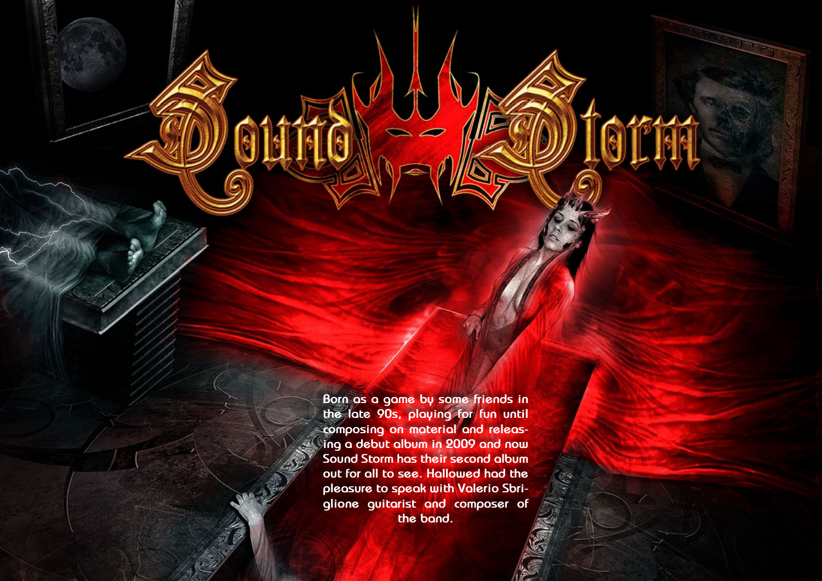**Born as a game by some friends in the late 90s, playing for fun until composing on material and releasing a debut album in 2009 and now Sound Storm has their second album out for all to see. Hallowed had the pleasure to speak with Valerio Sbriglione guitarist and composer of the band.**

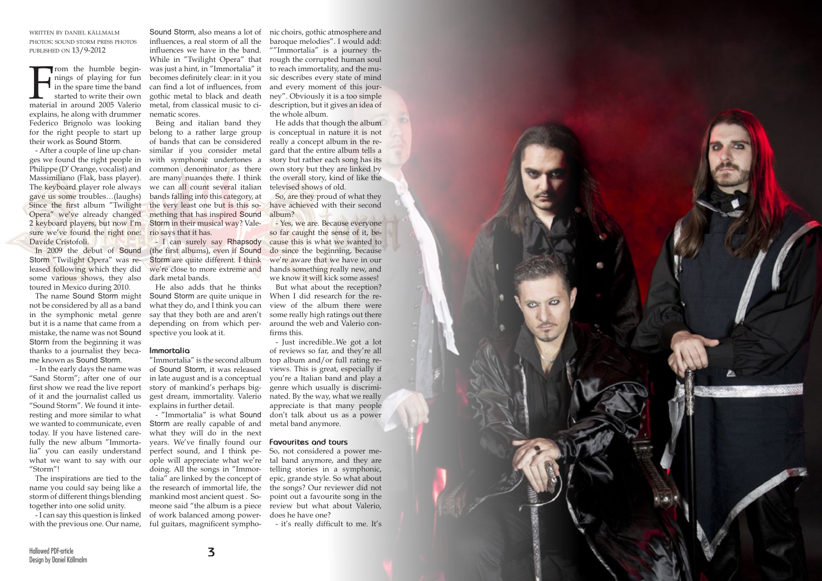

written by daniel källmalm photos: sound storm press photos published on 13/9-2012

From the humble begin-<br>mings of playing for fun<br>in the spare time the band<br>started to write their own<br>material in around 2005 Valerio rom the humble beginnings of playing for fun in the spare time the band started to write their own explains, he along with drummer Federico Brignolo was looking for the right people to start up their work as Sound Storm.

- After a couple of line up changes we found the right people in Philippe (D' Orange, vocalist) and Massimiliano (Flak, bass player). The keyboard player role always gave us some troubles…(laughs) Since the first album "Twilight the very least one but is this so-Opera" we've already changed 2 keyboard players, but now I'm sure we've found the right one: rio says that it has. Davide Cristofoli.

Storm "Twilight Opera" was released following which they did some various shows, they also toured in Mexico during 2010.

The name Sound Storm might not be considered by all as a band in the symphonic metal genre but it is a name that came from a mistake, the name was not Sound Storm from the beginning it was thanks to a journalist they became known as Sound Storm.

- In the early days the name was "Sand Storm"; after one of our first show we read the live report of it and the journalist called us "Sound Storm". We found it interesting and more similar to what we wanted to communicate, even today. If you have listened carefully the new album "Immortalia" you can easily understand "Storm"!

The inspirations are tied to the name you could say being like a storm of different things blending together into one solid unity.

In 2009 the debut of Sound (the first albums), even if Sound - I can surely say Rhapsody Storm are quite different. I think we're close to more extreme and dark metal bands.

influences, a real storm of all the influences we have in the band. While in "Twilight Opera" that was just a hint, in "Immortalia" it becomes definitely clear: in it you can find a lot of influences, from gothic metal to black and death metal, from classical music to cinematic scores.

Being and italian band they belong to a rather large group of bands that can be considered similar if you consider metal with symphonic undertones a common denominator as there are many nuances there. I think we can all count several italian bands falling into this category, at mething that has inspired Sound Storm in their musical way? Vale-

what we want to say with our ople will appreciate what we're - "Immortalia" is what Sound Storm are really capable of and what they will do in the next years. We've finally found our **Favourites and tours** perfect sound, and I think pedoing. All the songs in "Immortalia" are linked by the concept of the research of immortal life, the mankind most ancient quest . Someone said "the album is a piece of work balanced among power-

- I can say this question is linked with the previous one. Our name, ful guitars, magnificent sympho-

He also adds that he thinks Sound Storm are quite unique in what they do, and I think you can say that they both are and aren't depending on from which perspective you look at it.

Sound Storm, also means a lot of nic choirs, gothic atmosphere and baroque melodies". I would add: ""Immortalia" is a journey through the corrupted human soul to reach immortality, and the music describes every state of mind and every moment of this journey". Obviously it is a too simple description, but it gives an idea of the whole album.

## **Immortalia**

"Immortalia" is the second album of Sound Storm, it was released in late august and is a conceptual story of mankind's perhaps biggest dream, immortality. Valerio explains in further detail.

He adds that though the album is conceptual in nature it is not really a concept album in the regard that the entire album tells a story but rather each song has its own story but they are linked by the overall story, kind of like the televised shows of old.

So, are they proud of what they have achieved with their second album?

- Yes, we are. Because everyone so far caught the sense of it, because this is what we wanted to do since the beginning, because we're aware that we have in our hands something really new, and we know it will kick some asses!

But what about the reception? When I did research for the review of the album there were some really high ratings out there around the web and Valerio confirms this.

- Just incredible..We got a lot of reviews so far, and they're all top album and/or full rating reviews. This is great, especially if you're a Italian band and play a genre which usually is discriminated. By the way, what we really appreciate is that many people don't talk about us as a power metal band anymore.

So, not considered a power metal band anymore, and they are telling stories in a symphonic, epic, grande style. So what about the songs? Our reviewer did not point out a favourite song in the review but what about Valerio, does he have one?

- it's really difficult to me. It's